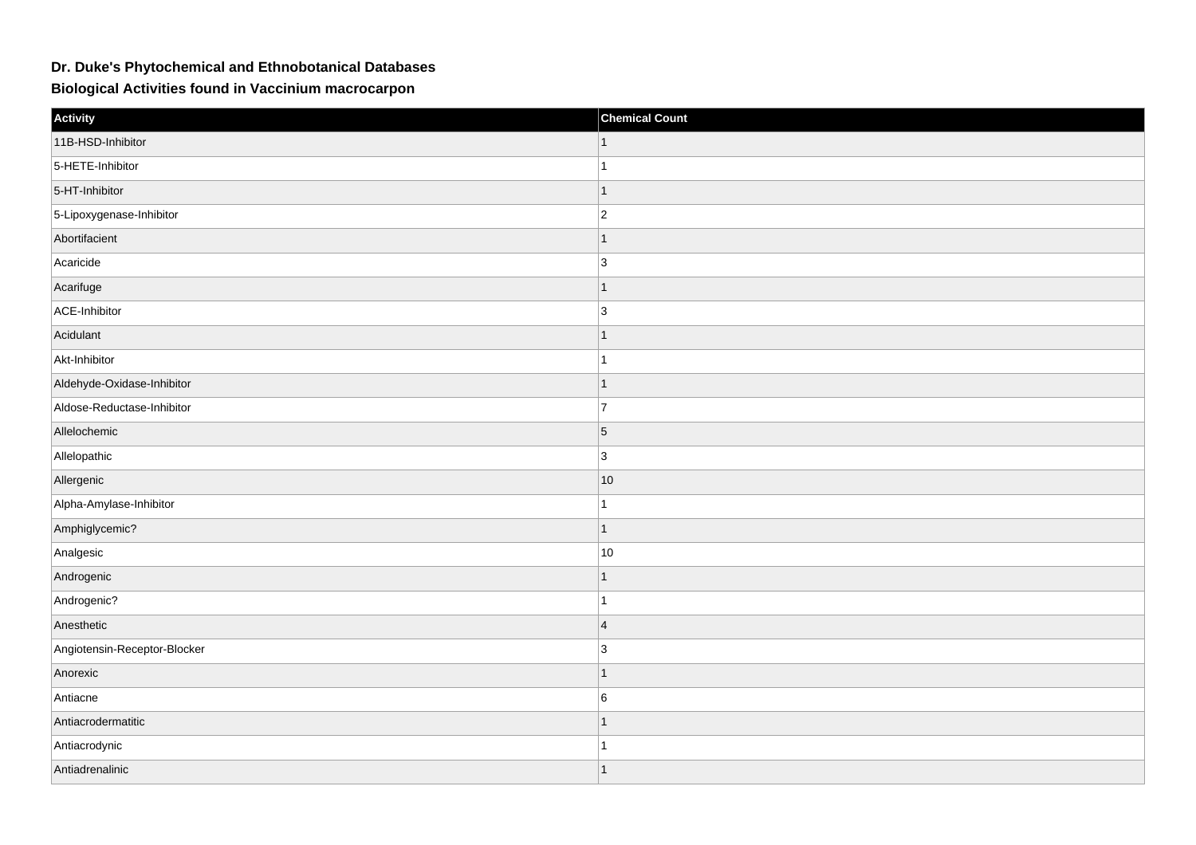## **Dr. Duke's Phytochemical and Ethnobotanical Databases**

**Biological Activities found in Vaccinium macrocarpon**

| Activity                     | <b>Chemical Count</b> |
|------------------------------|-----------------------|
| 11B-HSD-Inhibitor            |                       |
| 5-HETE-Inhibitor             | 1                     |
| 5-HT-Inhibitor               | 1                     |
| 5-Lipoxygenase-Inhibitor     | $ 2\rangle$           |
| Abortifacient                | 1                     |
| Acaricide                    | $\overline{3}$        |
| Acarifuge                    | 1                     |
| ACE-Inhibitor                | 3                     |
| Acidulant                    | $\overline{1}$        |
| Akt-Inhibitor                | 1                     |
| Aldehyde-Oxidase-Inhibitor   | 1                     |
| Aldose-Reductase-Inhibitor   | $\overline{7}$        |
| Allelochemic                 | $\vert$ 5             |
| Allelopathic                 | 3                     |
| Allergenic                   | 10                    |
| Alpha-Amylase-Inhibitor      | 1                     |
| Amphiglycemic?               | $\mathbf{1}$          |
| Analgesic                    | $10$                  |
| Androgenic                   | $\mathbf{1}$          |
| Androgenic?                  | 1                     |
| Anesthetic                   | $\overline{4}$        |
| Angiotensin-Receptor-Blocker | 3                     |
| Anorexic                     | 1                     |
| Antiacne                     | 6                     |
| Antiacrodermatitic           | 1                     |
| Antiacrodynic                | 1                     |
| Antiadrenalinic              | 1                     |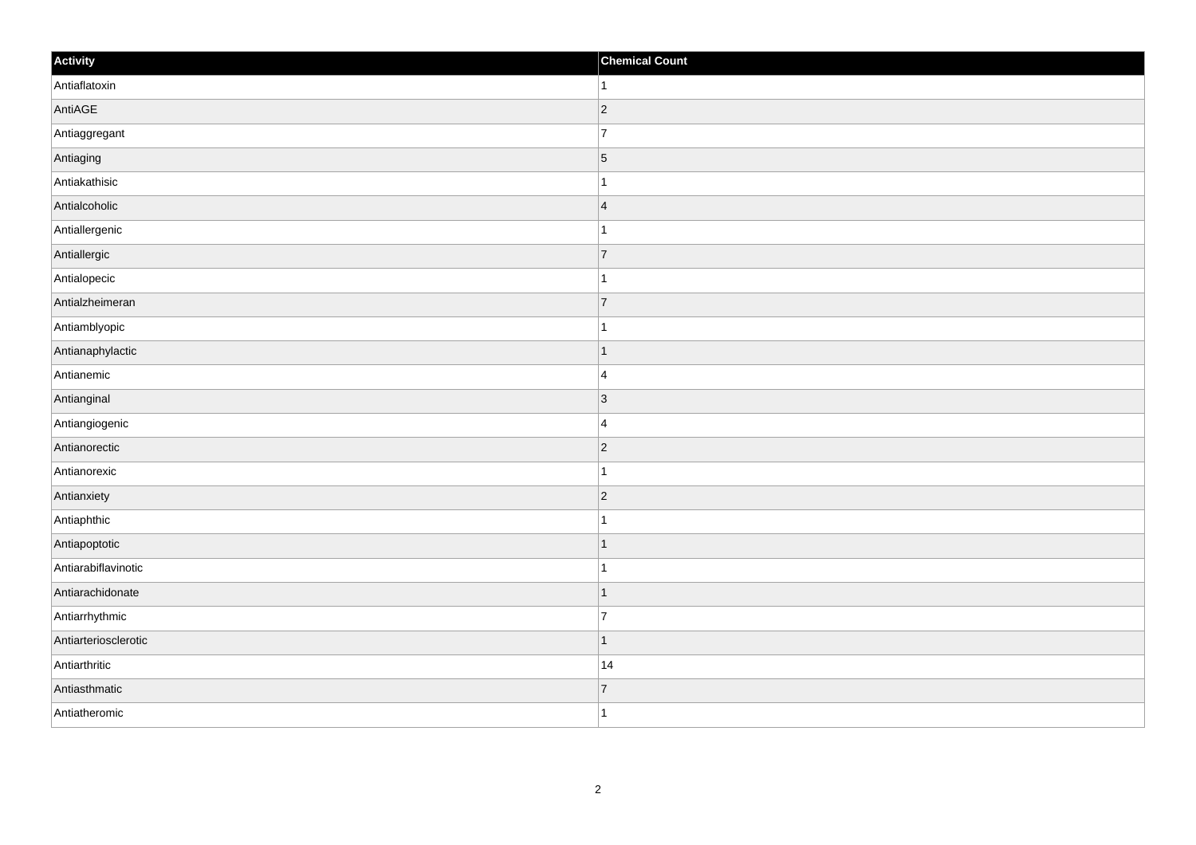| Activity             | <b>Chemical Count</b>    |
|----------------------|--------------------------|
| Antiaflatoxin        | 1                        |
| AntiAGE              | $\vert$ 2                |
| Antiaggregant        | $\overline{7}$           |
| Antiaging            | $\overline{5}$           |
| Antiakathisic        | 1                        |
| Antialcoholic        | $\vert 4 \vert$          |
| Antiallergenic       |                          |
| Antiallergic         | $\overline{7}$           |
| Antialopecic         |                          |
| Antialzheimeran      | 7                        |
| Antiamblyopic        | 1                        |
| Antianaphylactic     |                          |
| Antianemic           | $\overline{4}$           |
| Antianginal          | $\vert$ 3                |
| Antiangiogenic       | $\overline{4}$           |
| Antianorectic        | $\vert$ 2                |
| Antianorexic         | 1                        |
| Antianxiety          | $\vert$ 2                |
| Antiaphthic          |                          |
| Antiapoptotic        | 1                        |
| Antiarabiflavinotic  |                          |
| Antiarachidonate     | $\overline{\phantom{a}}$ |
| Antiarrhythmic       | 7                        |
| Antiarteriosclerotic | -1                       |
| Antiarthritic        | 14                       |
| Antiasthmatic        | $\overline{7}$           |
| Antiatheromic        | 1                        |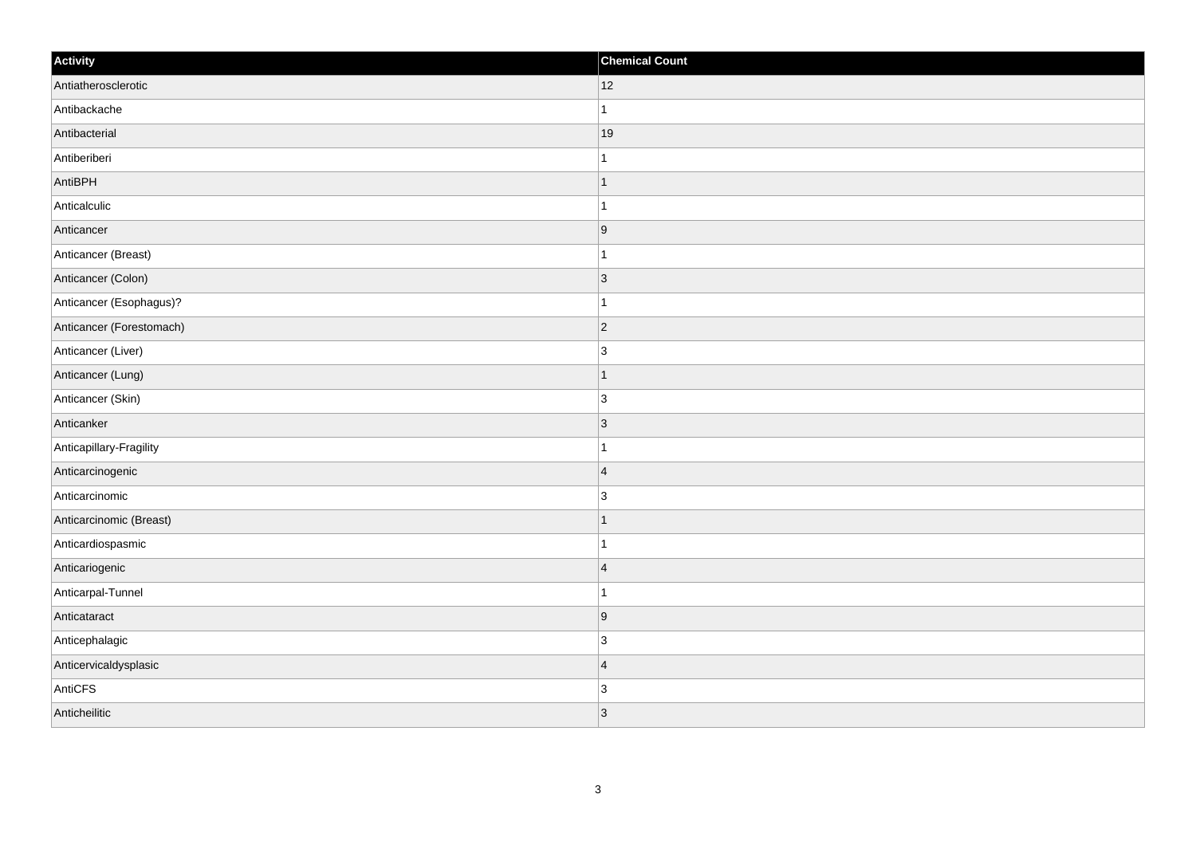| Activity                 | <b>Chemical Count</b> |
|--------------------------|-----------------------|
| Antiatherosclerotic      | 12                    |
| Antibackache             | $\mathbf{1}$          |
| Antibacterial            | 19                    |
| Antiberiberi             | $\mathbf 1$           |
| AntiBPH                  | $\mathbf 1$           |
| Anticalculic             |                       |
| Anticancer               | 9                     |
| Anticancer (Breast)      | $\mathbf{1}$          |
| Anticancer (Colon)       | 3                     |
| Anticancer (Esophagus)?  | 1                     |
| Anticancer (Forestomach) | $\overline{2}$        |
| Anticancer (Liver)       | $\overline{3}$        |
| Anticancer (Lung)        | $\vert$ 1             |
| Anticancer (Skin)        | $\overline{3}$        |
| Anticanker               | 3                     |
| Anticapillary-Fragility  | $\mathbf{1}$          |
| Anticarcinogenic         | $\overline{4}$        |
| Anticarcinomic           | 3                     |
| Anticarcinomic (Breast)  | $\mathbf{1}$          |
| Anticardiospasmic        | $\mathbf 1$           |
| Anticariogenic           | $\overline{4}$        |
| Anticarpal-Tunnel        | $\overline{1}$        |
| Anticataract             | 9                     |
| Anticephalagic           | 3                     |
| Anticervicaldysplasic    | $\overline{4}$        |
| AntiCFS                  | $\overline{3}$        |
| Anticheilitic            | 3                     |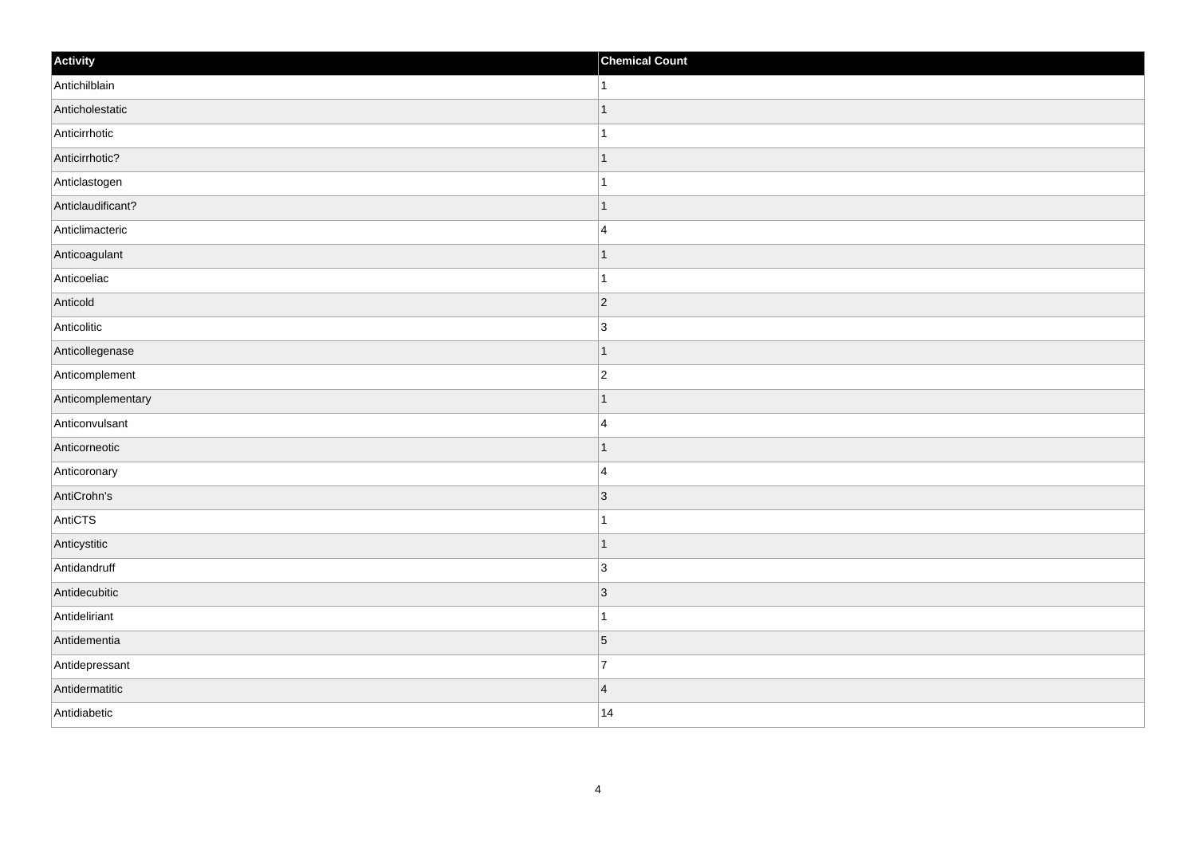| Activity          | <b>Chemical Count</b>   |
|-------------------|-------------------------|
| Antichilblain     | $\vert$ 1               |
| Anticholestatic   | $\mathbf{1}$            |
| Anticirrhotic     |                         |
| Anticirrhotic?    | $\overline{1}$          |
| Anticlastogen     | $\mathbf{1}$            |
| Anticlaudificant? | $\mathbf 1$             |
| Anticlimacteric   | $\overline{4}$          |
| Anticoagulant     | $\mathbf 1$             |
| Anticoeliac       | 1                       |
| Anticold          | 2                       |
| Anticolitic       | $\overline{3}$          |
| Anticollegenase   | $\mathbf 1$             |
| Anticomplement    | $ 2\rangle$             |
| Anticomplementary | 1                       |
| Anticonvulsant    | $\overline{4}$          |
| Anticorneotic     | $\vert$ 1               |
| Anticoronary      | $\overline{4}$          |
| AntiCrohn's       | 3                       |
| AntiCTS           | $\mathbf{1}$            |
| Anticystitic      | $\vert$ 1               |
| Antidandruff      | 3                       |
| Antidecubitic     | $ 3\rangle$             |
| Antideliriant     | $\mathbf 1$             |
| Antidementia      | $\vert 5 \vert$         |
| Antidepressant    | $\overline{7}$          |
| Antidermatitic    | $\overline{\mathbf{4}}$ |
| Antidiabetic      | 14                      |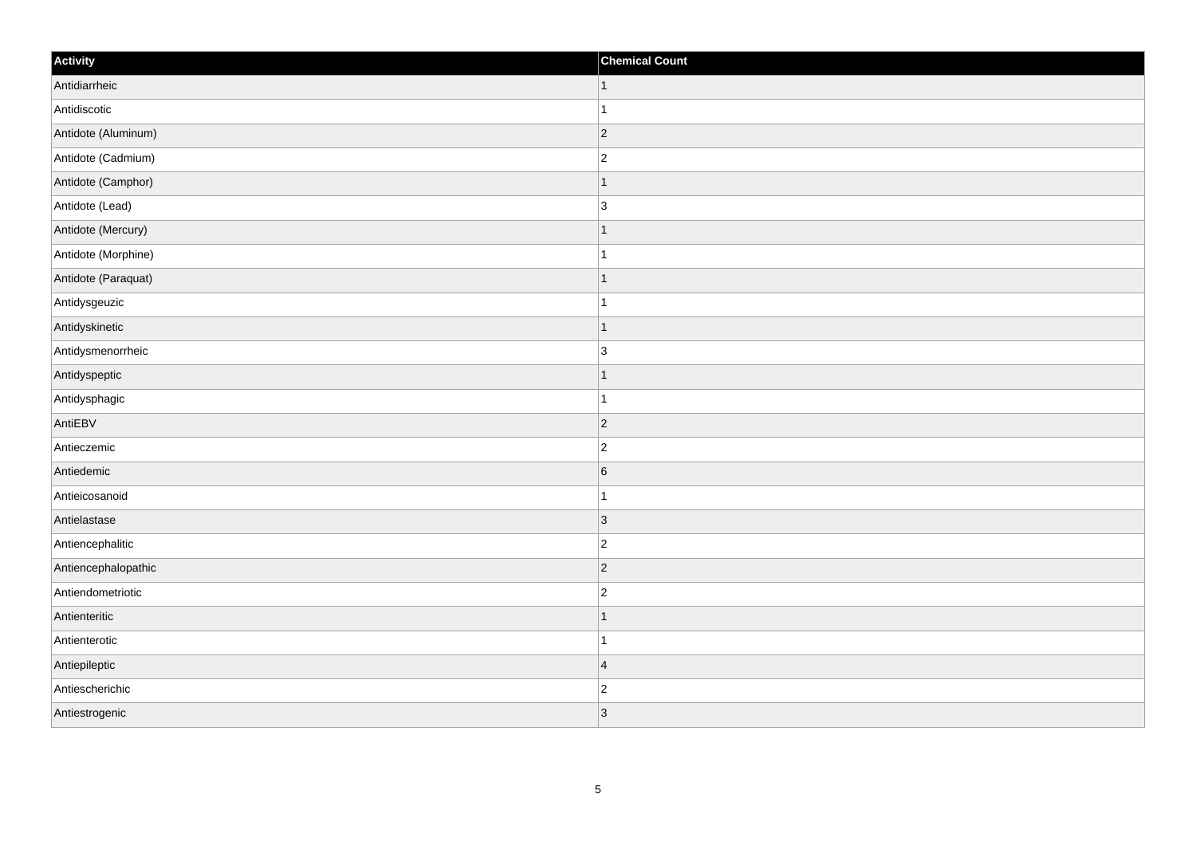| Activity            | <b>Chemical Count</b> |
|---------------------|-----------------------|
| Antidiarrheic       | $\vert$ 1             |
| Antidiscotic        | $\overline{1}$        |
| Antidote (Aluminum) | $ 2\rangle$           |
| Antidote (Cadmium)  | $\overline{c}$        |
| Antidote (Camphor)  |                       |
| Antidote (Lead)     | 3                     |
| Antidote (Mercury)  | $\mathbf 1$           |
| Antidote (Morphine) | $\mathbf{1}$          |
| Antidote (Paraquat) |                       |
| Antidysgeuzic       | 1                     |
| Antidyskinetic      | 1                     |
| Antidysmenorrheic   | 3                     |
| Antidyspeptic       | $\mathbf 1$           |
| Antidysphagic       | $\mathbf{1}$          |
| AntiEBV             | $ 2\rangle$           |
| Antieczemic         | $\overline{2}$        |
| Antiedemic          | $\sqrt{6}$            |
| Antieicosanoid      | 1                     |
| Antielastase        | $ 3\rangle$           |
| Antiencephalitic    | $\overline{c}$        |
| Antiencephalopathic | $ 2\rangle$           |
| Antiendometriotic   | $ 2\rangle$           |
| Antienteritic       | 1                     |
| Antienterotic       | $\mathbf 1$           |
| Antiepileptic       | $\overline{4}$        |
| Antiescherichic     | $\overline{c}$        |
| Antiestrogenic      | 3                     |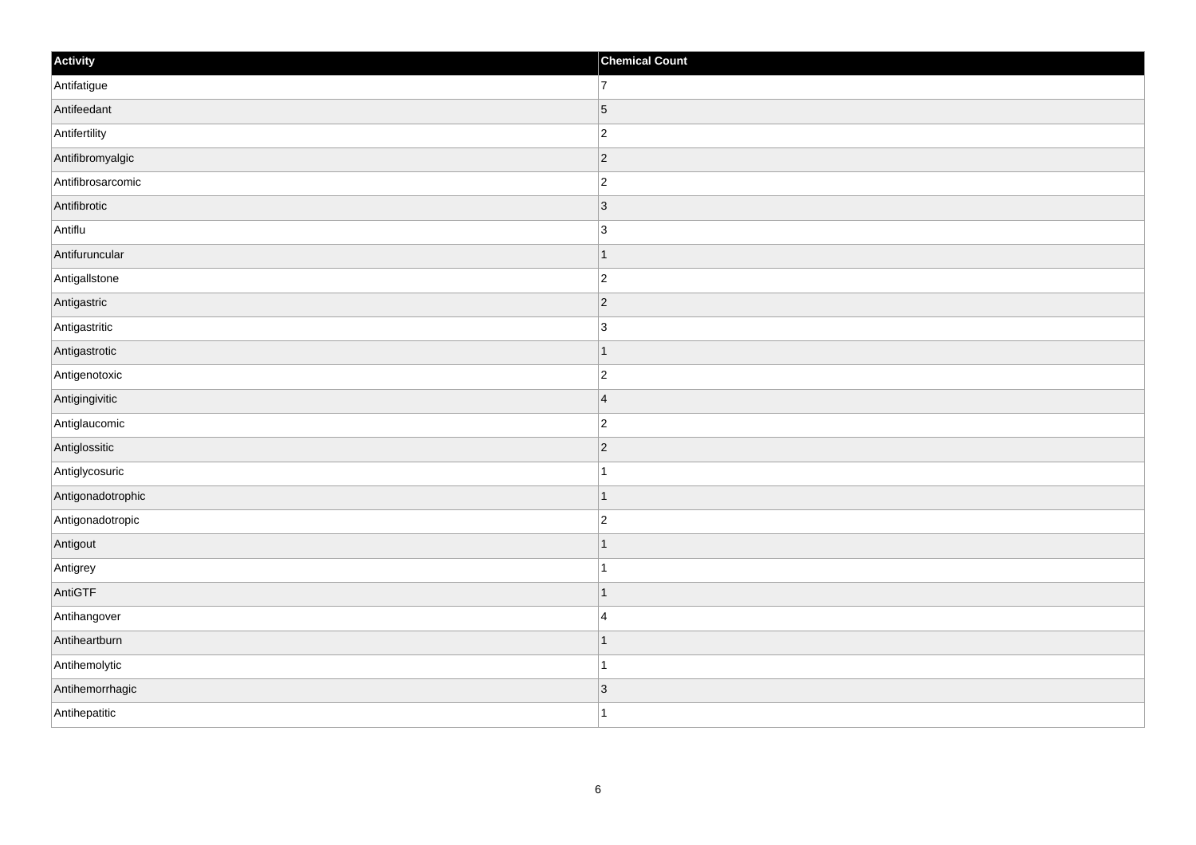| Activity          | <b>Chemical Count</b>    |
|-------------------|--------------------------|
| Antifatigue       | $\overline{7}$           |
| Antifeedant       | $\overline{5}$           |
| Antifertility     | $\overline{c}$           |
| Antifibromyalgic  | $ 2\rangle$              |
| Antifibrosarcomic | $\overline{c}$           |
| Antifibrotic      | $\vert 3 \vert$          |
| Antiflu           | $\overline{3}$           |
| Antifuruncular    | $\overline{\phantom{a}}$ |
| Antigallstone     | $\vert$ 2                |
| Antigastric       | $\vert$ 2                |
| Antigastritic     | 3                        |
| Antigastrotic     |                          |
| Antigenotoxic     | $\overline{c}$           |
| Antigingivitic    | $\overline{4}$           |
| Antiglaucomic     | $\overline{2}$           |
| Antiglossitic     | $\vert$ 2                |
| Antiglycosuric    | 1                        |
| Antigonadotrophic | $\overline{\phantom{a}}$ |
| Antigonadotropic  | $\overline{c}$           |
| Antigout          |                          |
| Antigrey          |                          |
| AntiGTF           | $\overline{\phantom{a}}$ |
| Antihangover      | $\overline{4}$           |
| Antiheartburn     | $\overline{\phantom{a}}$ |
| Antihemolytic     | 1                        |
| Antihemorrhagic   | $\vert 3 \vert$          |
| Antihepatitic     | $\overline{1}$           |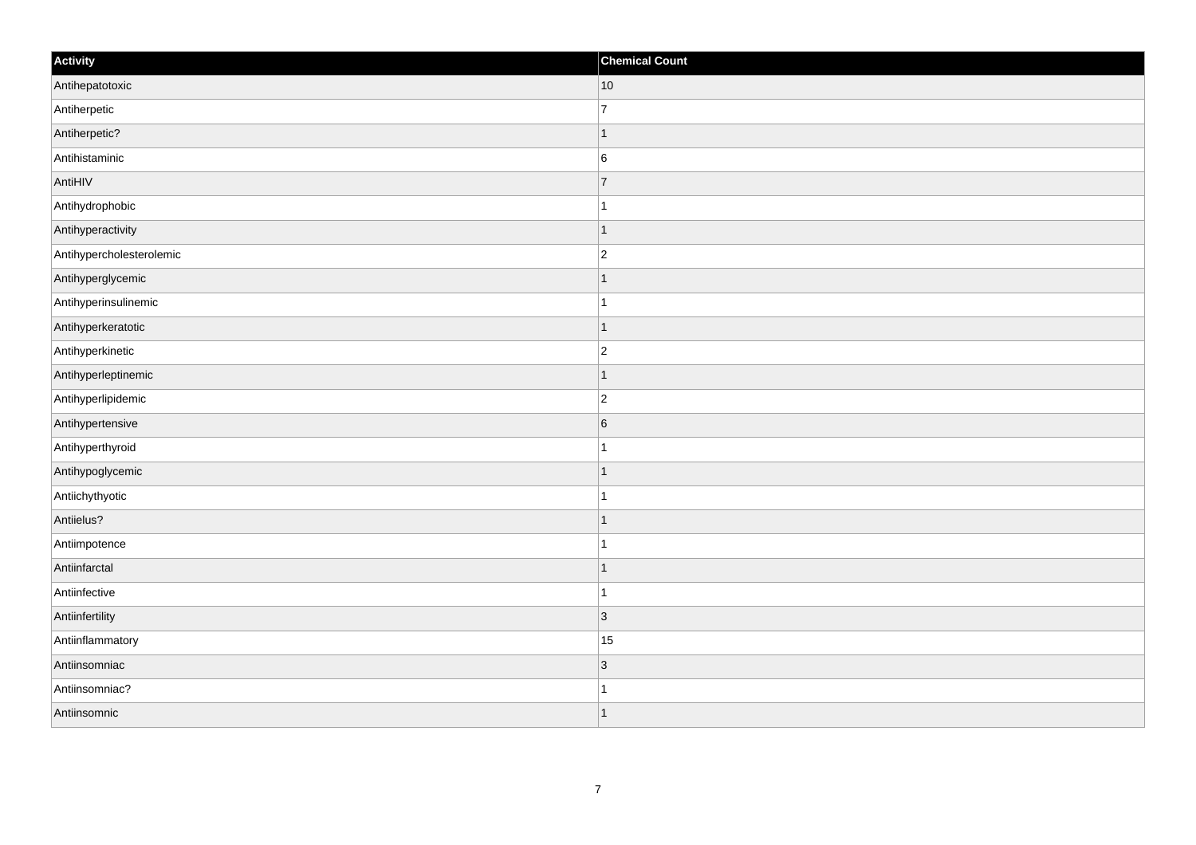| Activity                 | <b>Chemical Count</b> |
|--------------------------|-----------------------|
| Antihepatotoxic          | $ 10\rangle$          |
| Antiherpetic             | $\overline{7}$        |
| Antiherpetic?            | $\mathbf 1$           |
| Antihistaminic           | $\,6$                 |
| AntiHIV                  | $\overline{7}$        |
| Antihydrophobic          |                       |
| Antihyperactivity        | $\overline{1}$        |
| Antihypercholesterolemic | $\overline{2}$        |
| Antihyperglycemic        |                       |
| Antihyperinsulinemic     | $\mathbf{1}$          |
| Antihyperkeratotic       | $\overline{1}$        |
| Antihyperkinetic         | $ 2\rangle$           |
| Antihyperleptinemic      | $\vert$ 1             |
| Antihyperlipidemic       | $\overline{c}$        |
| Antihypertensive         | 6                     |
| Antihyperthyroid         | $\mathbf{1}$          |
| Antihypoglycemic         | $\mathbf 1$           |
| Antiichythyotic          |                       |
| Antiielus?               | $\mathbf{1}$          |
| Antiimpotence            | $\mathbf 1$           |
| Antiinfarctal            | $\mathbf 1$           |
| Antiinfective            | $\mathbf{1}$          |
| Antiinfertility          | $ 3\rangle$           |
| Antiinflammatory         | 15                    |
| Antiinsomniac            | $ 3\rangle$           |
| Antiinsomniac?           |                       |
| Antiinsomnic             | 1                     |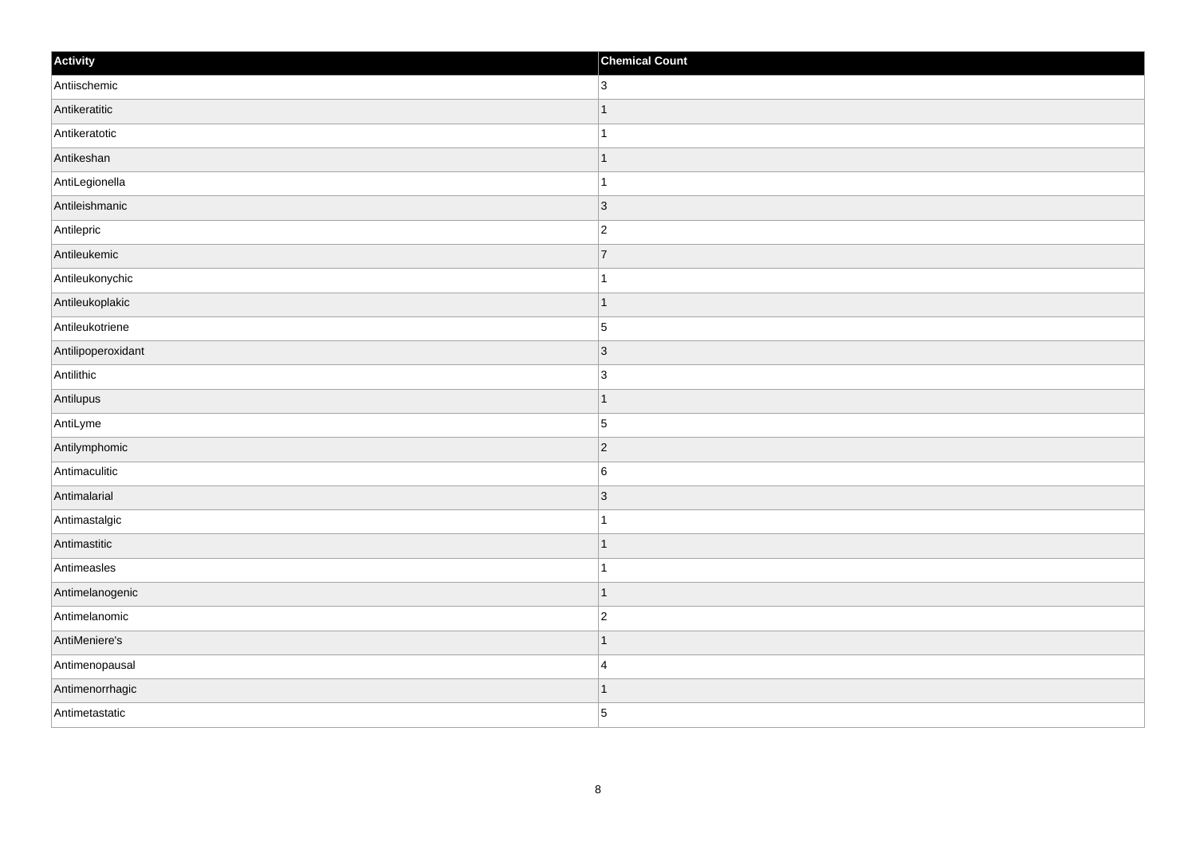| Activity           | <b>Chemical Count</b> |
|--------------------|-----------------------|
| Antiischemic       | $\overline{3}$        |
| Antikeratitic      | $\overline{1}$        |
| Antikeratotic      |                       |
| Antikeshan         | $\overline{1}$        |
| AntiLegionella     | $\overline{1}$        |
| Antileishmanic     | 3                     |
| Antilepric         | $\overline{c}$        |
| Antileukemic       | $\overline{7}$        |
| Antileukonychic    |                       |
| Antileukoplakic    | $\vert$ 1             |
| Antileukotriene    | $\vert$ 5             |
| Antilipoperoxidant | 3                     |
| Antilithic         | $\overline{3}$        |
| Antilupus          | $\mathbf 1$           |
| AntiLyme           | $\vert$ 5             |
| Antilymphomic      | $ 2\rangle$           |
| Antimaculitic      | 6                     |
| Antimalarial       | 3                     |
| Antimastalgic      | $\mathbf 1$           |
| Antimastitic       | $\vert$ 1             |
| Antimeasles        | $\mathbf{1}$          |
| Antimelanogenic    | $\vert$ 1             |
| Antimelanomic      | $\overline{c}$        |
| AntiMeniere's      | $\overline{1}$        |
| Antimenopausal     | $\overline{4}$        |
| Antimenorrhagic    | 1                     |
| Antimetastatic     | 5                     |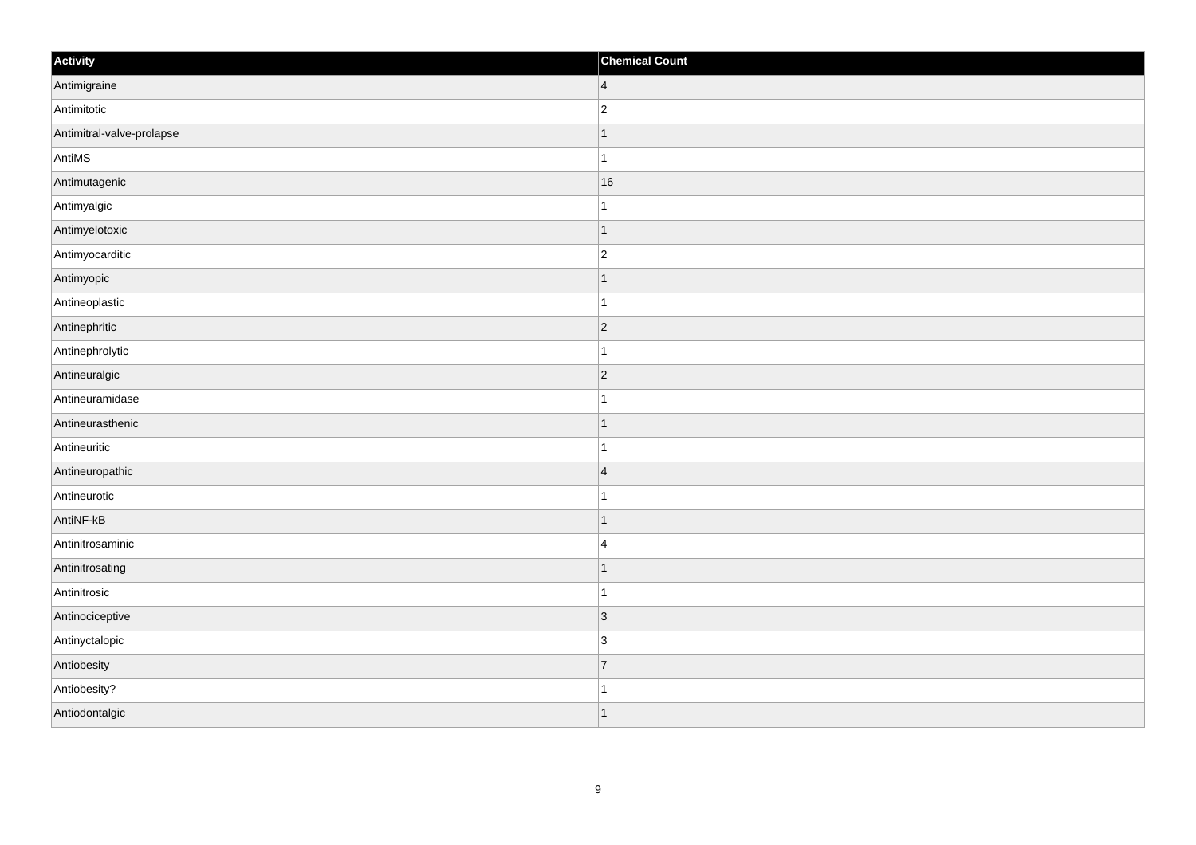| Activity                  | <b>Chemical Count</b> |
|---------------------------|-----------------------|
| Antimigraine              | $\overline{4}$        |
| Antimitotic               | $\overline{2}$        |
| Antimitral-valve-prolapse | $\mathbf 1$           |
| AntiMS                    | $\mathbf{1}$          |
| Antimutagenic             | 16                    |
| Antimyalgic               |                       |
| Antimyelotoxic            | $\vert$ 1             |
| Antimyocarditic           | $\overline{c}$        |
| Antimyopic                | -1                    |
| Antineoplastic            | $\mathbf{1}$          |
| Antinephritic             | $\overline{2}$        |
| Antinephrolytic           |                       |
| Antineuralgic             | $ 2\rangle$           |
| Antineuramidase           | $\mathbf{1}$          |
| Antineurasthenic          | $\mathbf 1$           |
| Antineuritic              | $\mathbf{1}$          |
| Antineuropathic           | $\overline{4}$        |
| Antineurotic              |                       |
| AntiNF-kB                 | $\vert$ 1             |
| Antinitrosaminic          | $\overline{4}$        |
| Antinitrosating           | $\mathbf 1$           |
| Antinitrosic              | $\mathbf{1}$          |
| Antinociceptive           | 3                     |
| Antinyctalopic            | 3                     |
| Antiobesity               | 7                     |
| Antiobesity?              | 1                     |
| Antiodontalgic            | $\overline{1}$        |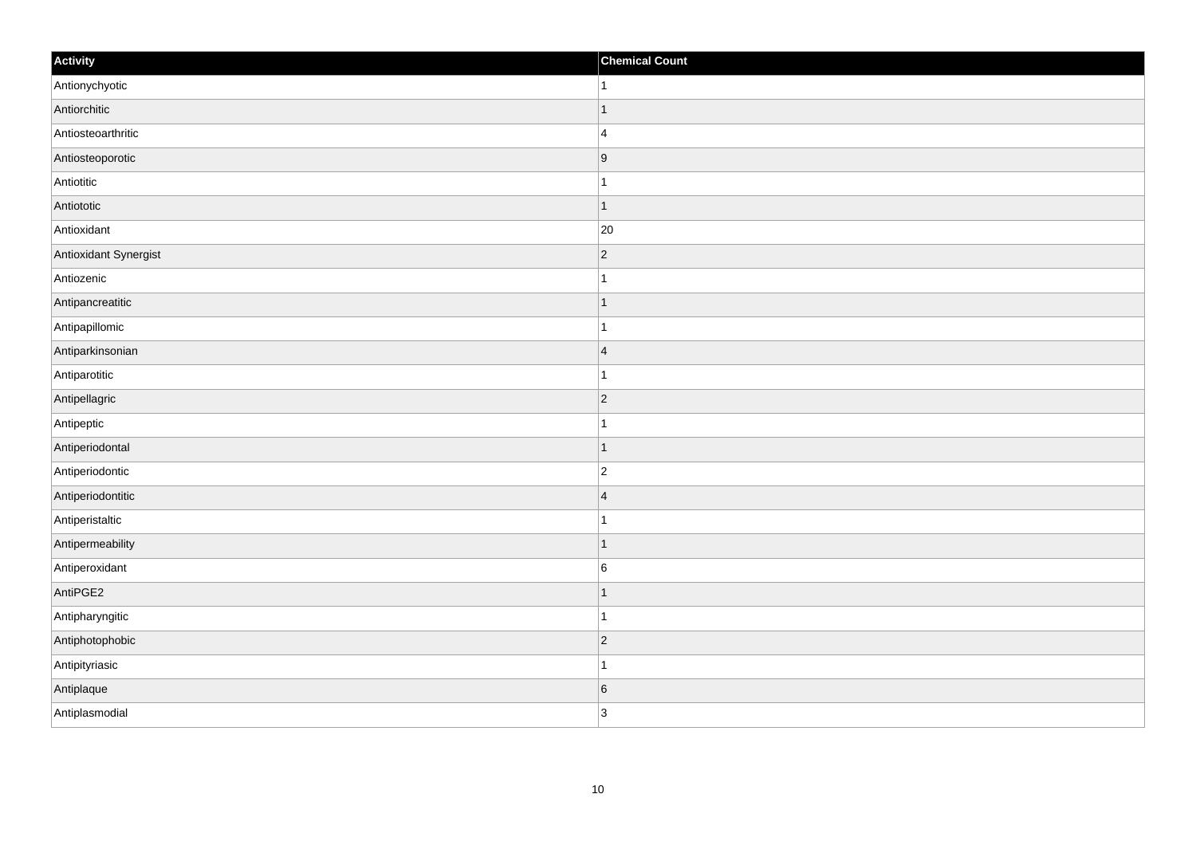| Activity              | <b>Chemical Count</b> |
|-----------------------|-----------------------|
| Antionychyotic        | $\vert$ 1             |
| Antiorchitic          | $\overline{1}$        |
| Antiosteoarthritic    | $\overline{4}$        |
| Antiosteoporotic      | 9                     |
| Antiotitic            | $\mathbf{1}$          |
| Antiototic            | $\mathbf 1$           |
| Antioxidant           | 20                    |
| Antioxidant Synergist | $\overline{2}$        |
| Antiozenic            |                       |
| Antipancreatitic      | $\mathbf{1}$          |
| Antipapillomic        | $\mathbf 1$           |
| Antiparkinsonian      | $\overline{4}$        |
| Antiparotitic         | $\mathbf{1}$          |
| Antipellagric         | $ 2\rangle$           |
| Antipeptic            |                       |
| Antiperiodontal       | $\vert$ 1             |
| Antiperiodontic       | $\overline{c}$        |
| Antiperiodontitic     | $\overline{4}$        |
| Antiperistaltic       | $\mathbf 1$           |
| Antipermeability      | $\vert$ 1             |
| Antiperoxidant        | 6                     |
| AntiPGE2              | $\mathbf{1}$          |
| Antipharyngitic       | $\mathbf 1$           |
| Antiphotophobic       | $ 2\rangle$           |
| Antipityriasic        | $\mathbf 1$           |
| Antiplaque            | 6                     |
| Antiplasmodial        | 3                     |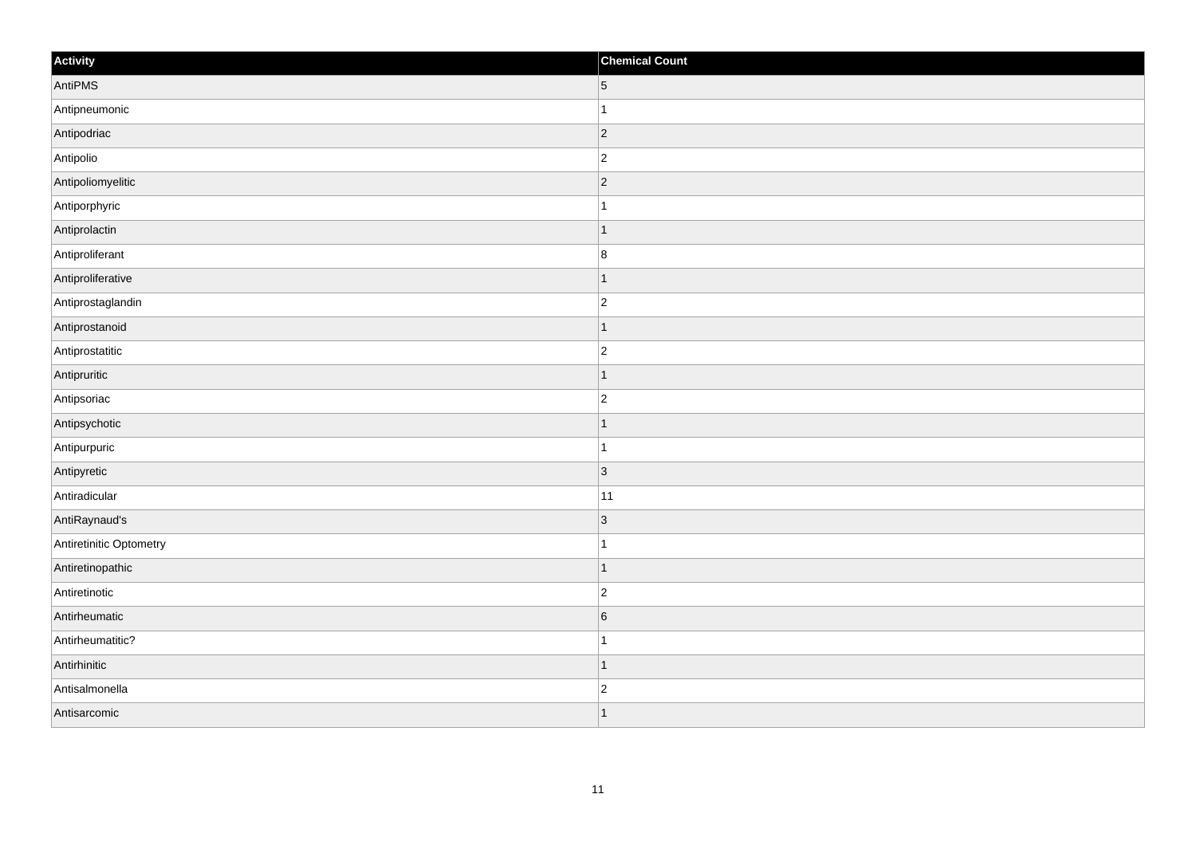| Activity                | <b>Chemical Count</b> |
|-------------------------|-----------------------|
| AntiPMS                 | $5\overline{)}$       |
| Antipneumonic           | $\mathbf 1$           |
| Antipodriac             | 2                     |
| Antipolio               | $\overline{c}$        |
| Antipoliomyelitic       | $\overline{c}$        |
| Antiporphyric           |                       |
| Antiprolactin           | $\overline{1}$        |
| Antiproliferant         | $\bf 8$               |
| Antiproliferative       | $\mathbf 1$           |
| Antiprostaglandin       | $\overline{2}$        |
| Antiprostanoid          | $\mathbf{1}$          |
| Antiprostatitic         | $ 2\rangle$           |
| Antipruritic            | $\vert$ 1             |
| Antipsoriac             | $\overline{c}$        |
| Antipsychotic           | $\mathbf 1$           |
| Antipurpuric            | $\mathbf{1}$          |
| Antipyretic             | $ 3\rangle$           |
| Antiradicular           | 11                    |
| AntiRaynaud's           | 3                     |
| Antiretinitic Optometry | $\mathbf 1$           |
| Antiretinopathic        | $\vert$ 1             |
| Antiretinotic           | $ 2\rangle$           |
| Antirheumatic           | $\sqrt{6}$            |
| Antirheumatitic?        | $\mathbf{1}$          |
| Antirhinitic            | $\vert$ 1             |
| Antisalmonella          | $\overline{c}$        |
| Antisarcomic            | $\vert$ 1             |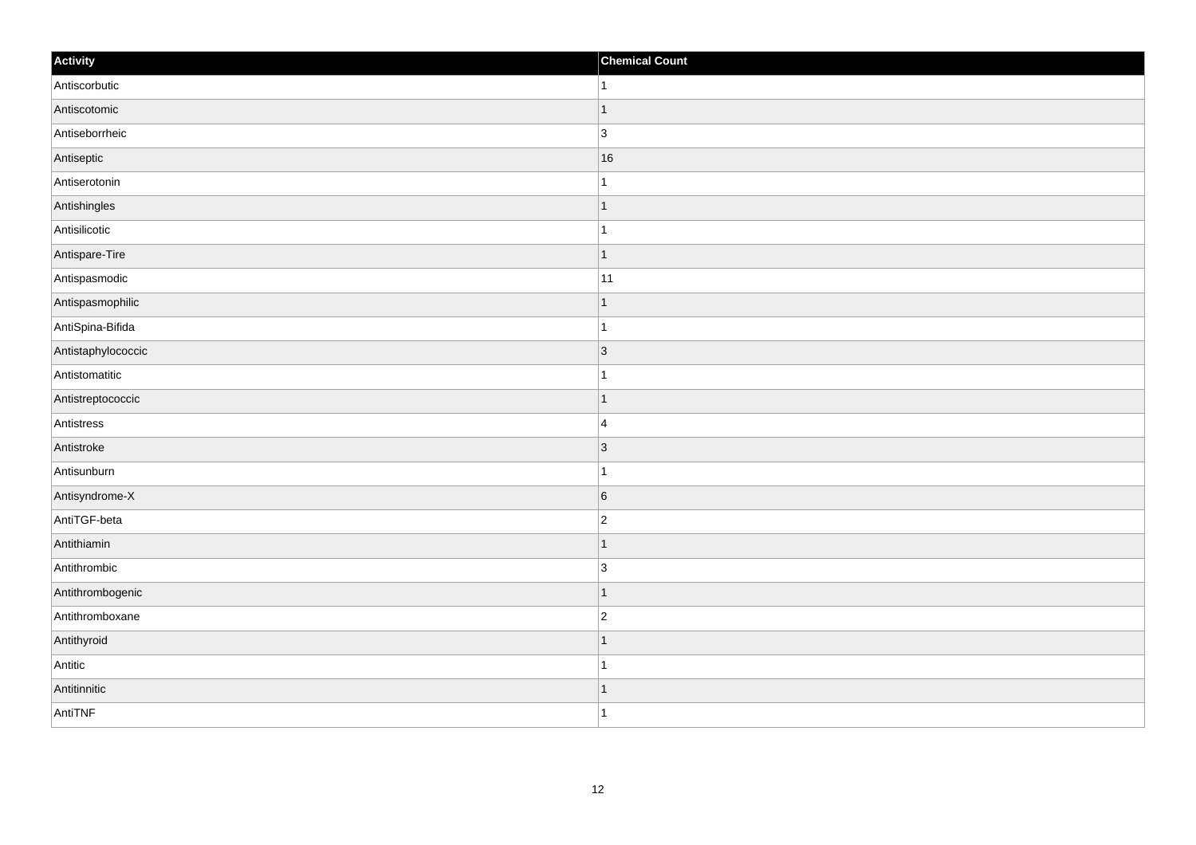| Activity           | <b>Chemical Count</b> |
|--------------------|-----------------------|
| Antiscorbutic      | $\vert$ 1             |
| Antiscotomic       | $\mathbf{1}$          |
| Antiseborrheic     | $\overline{3}$        |
| Antiseptic         | 16                    |
| Antiserotonin      | $\mathbf{1}$          |
| Antishingles       | $\mathbf 1$           |
| Antisilicotic      | $\mathbf{1}$          |
| Antispare-Tire     | $\mathbf{1}$          |
| Antispasmodic      | 11                    |
| Antispasmophilic   | $\overline{1}$        |
| AntiSpina-Bifida   | $\overline{1}$        |
| Antistaphylococcic | 3                     |
| Antistomatitic     | $\mathbf{1}$          |
| Antistreptococcic  | $\mathbf 1$           |
| Antistress         | $\overline{4}$        |
| Antistroke         | $ 3\rangle$           |
| Antisunburn        | $\mathbf 1$           |
| Antisyndrome-X     | 6                     |
| AntiTGF-beta       | $ 2\rangle$           |
| Antithiamin        | 1                     |
| Antithrombic       | 3                     |
| Antithrombogenic   | $\vert$ 1             |
| Antithromboxane    | $\overline{c}$        |
| Antithyroid        | $\mathbf 1$           |
| Antitic            | $\mathbf 1$           |
| Antitinnitic       | $\vert$ 1             |
| AntiTNF            | $\overline{1}$        |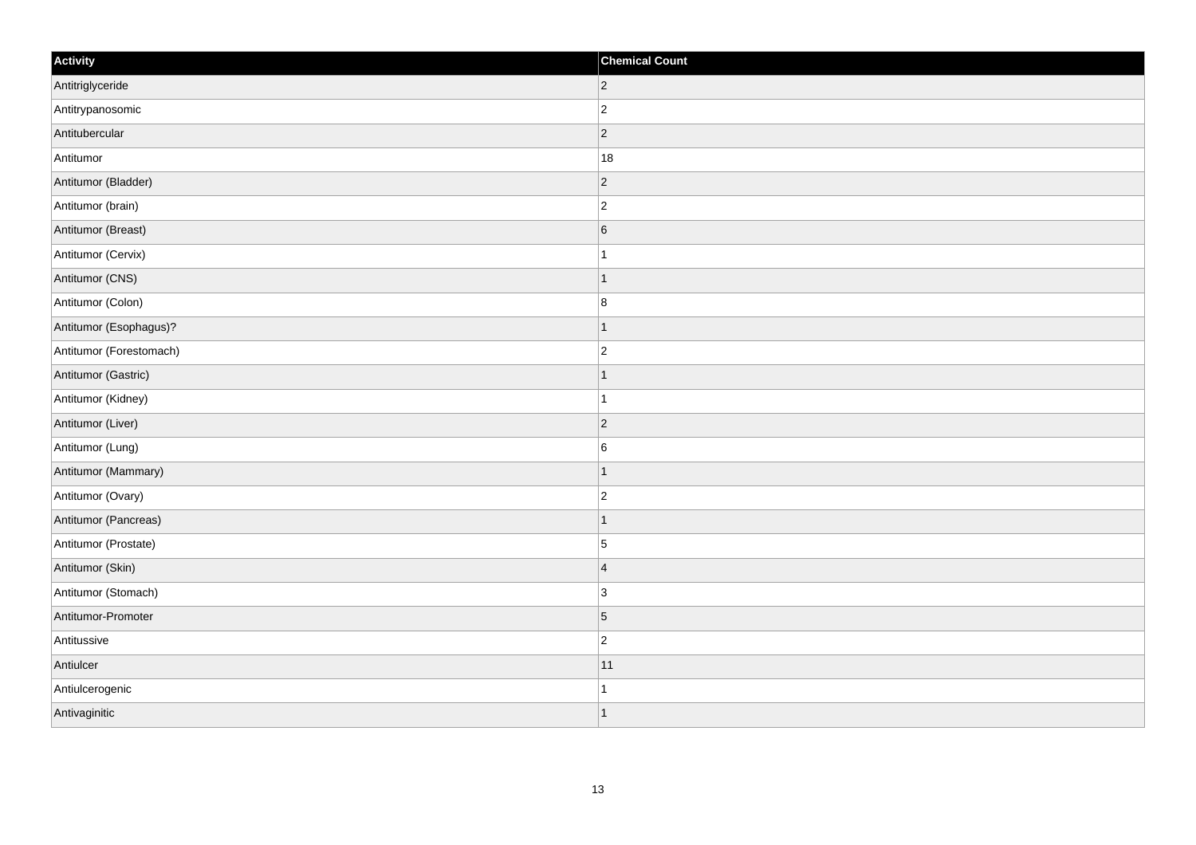| Activity                | <b>Chemical Count</b> |
|-------------------------|-----------------------|
| Antitriglyceride        | $ 2\rangle$           |
| Antitrypanosomic        | $ 2\rangle$           |
| Antitubercular          | $\overline{2}$        |
| Antitumor               | 18                    |
| Antitumor (Bladder)     | $ 2\rangle$           |
| Antitumor (brain)       | $\overline{2}$        |
| Antitumor (Breast)      | $6\overline{6}$       |
| Antitumor (Cervix)      | $\overline{1}$        |
| Antitumor (CNS)         | $\mathbf 1$           |
| Antitumor (Colon)       | 8                     |
| Antitumor (Esophagus)?  | $\overline{1}$        |
| Antitumor (Forestomach) | $\overline{2}$        |
| Antitumor (Gastric)     | $\mathbf{1}$          |
| Antitumor (Kidney)      | $\overline{1}$        |
| Antitumor (Liver)       | $\vert$ 2             |
| Antitumor (Lung)        | 6                     |
| Antitumor (Mammary)     | $\overline{1}$        |
| Antitumor (Ovary)       | $ 2\rangle$           |
| Antitumor (Pancreas)    | $\mathbf{1}$          |
| Antitumor (Prostate)    | 5                     |
| Antitumor (Skin)        | $\overline{4}$        |
| Antitumor (Stomach)     | 3                     |
| Antitumor-Promoter      | 5                     |
| Antitussive             | $ 2\rangle$           |
| Antiulcer               | 11                    |
| Antiulcerogenic         |                       |
| Antivaginitic           | $\overline{1}$        |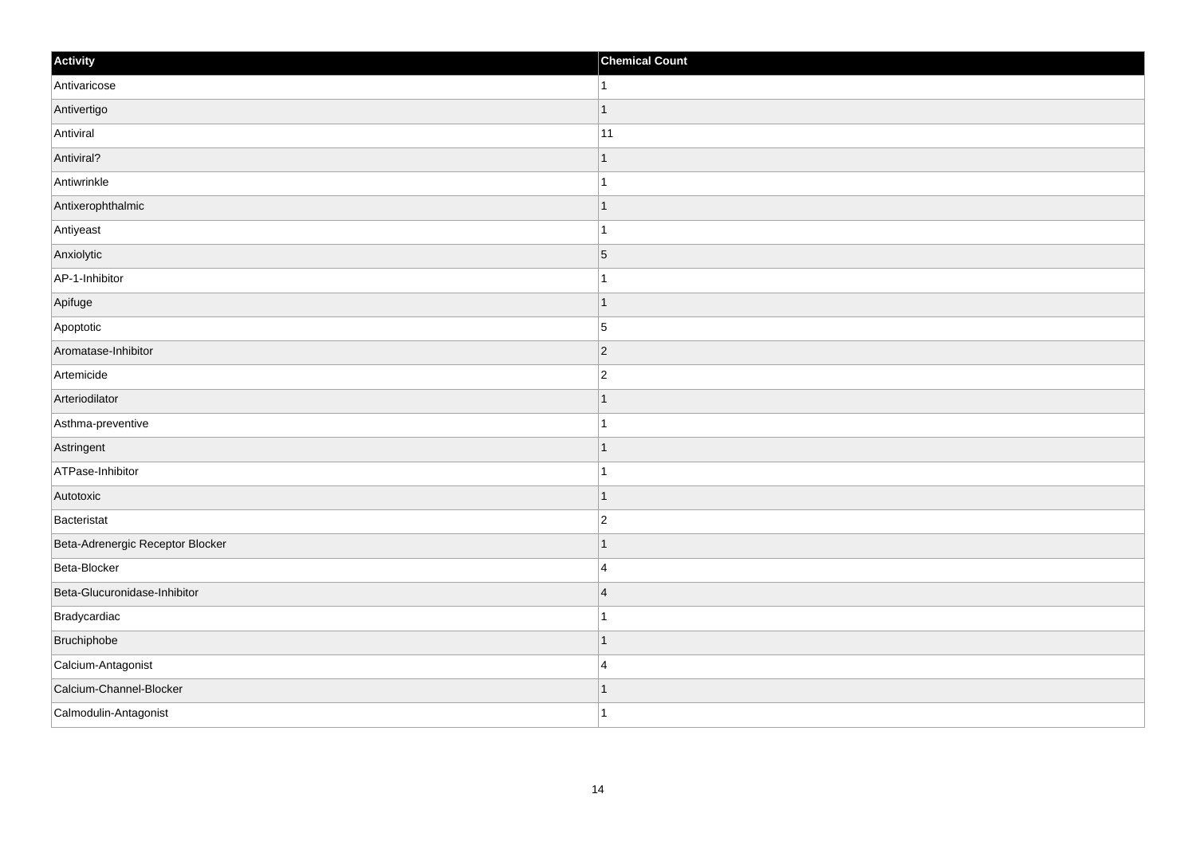| Activity                         | <b>Chemical Count</b> |
|----------------------------------|-----------------------|
| Antivaricose                     | 1                     |
| Antivertigo                      |                       |
| Antiviral                        | 11                    |
| Antiviral?                       | 1                     |
| Antiwrinkle                      | 1                     |
| Antixerophthalmic                |                       |
| Antiyeast                        |                       |
| Anxiolytic                       | $\overline{5}$        |
| AP-1-Inhibitor                   |                       |
| Apifuge                          | 1                     |
| Apoptotic                        | $\overline{5}$        |
| Aromatase-Inhibitor              | $\vert$ 2             |
| Artemicide                       | $\overline{c}$        |
| Arteriodilator                   |                       |
| Asthma-preventive                |                       |
| Astringent                       | 1                     |
| ATPase-Inhibitor                 | 1                     |
| Autotoxic                        |                       |
| Bacteristat                      | $\overline{2}$        |
| Beta-Adrenergic Receptor Blocker |                       |
| Beta-Blocker                     | $\overline{4}$        |
| Beta-Glucuronidase-Inhibitor     | $\overline{4}$        |
| Bradycardiac                     |                       |
| Bruchiphobe                      |                       |
| Calcium-Antagonist               | $\overline{4}$        |
| Calcium-Channel-Blocker          |                       |
| Calmodulin-Antagonist            | 1                     |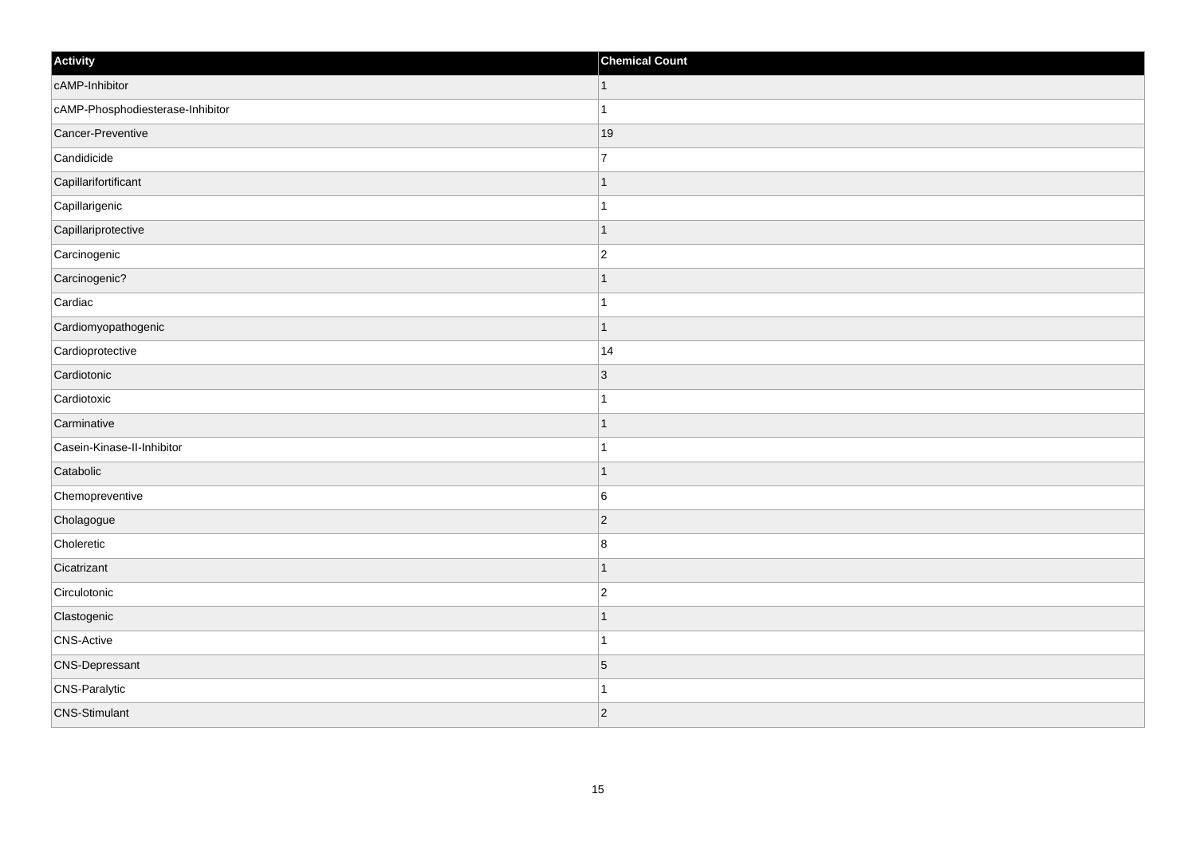| Activity                         | <b>Chemical Count</b> |
|----------------------------------|-----------------------|
| cAMP-Inhibitor                   | $\vert$ 1             |
| cAMP-Phosphodiesterase-Inhibitor | $\mathbf{1}$          |
| Cancer-Preventive                | 19                    |
| Candidicide                      | 7                     |
| Capillarifortificant             |                       |
| Capillarigenic                   |                       |
| Capillariprotective              | $\mathbf{1}$          |
| Carcinogenic                     | $\overline{2}$        |
| Carcinogenic?                    |                       |
| Cardiac                          | $\mathbf 1$           |
| Cardiomyopathogenic              | $\mathbf{1}$          |
| Cardioprotective                 | 14                    |
| Cardiotonic                      | 3                     |
| Cardiotoxic                      | $\mathbf 1$           |
| Carminative                      |                       |
| Casein-Kinase-II-Inhibitor       | $\mathbf{1}$          |
| Catabolic                        | $\mathbf 1$           |
| Chemopreventive                  | 6                     |
| Cholagogue                       | $ 2\rangle$           |
| Choleretic                       | $\bf 8$               |
| Cicatrizant                      | $\mathbf 1$           |
| Circulotonic                     | $\overline{c}$        |
| Clastogenic                      |                       |
| CNS-Active                       | $\mathbf 1$           |
| CNS-Depressant                   | $\overline{5}$        |
| <b>CNS-Paralytic</b>             |                       |
| <b>CNS-Stimulant</b>             | $ 2\rangle$           |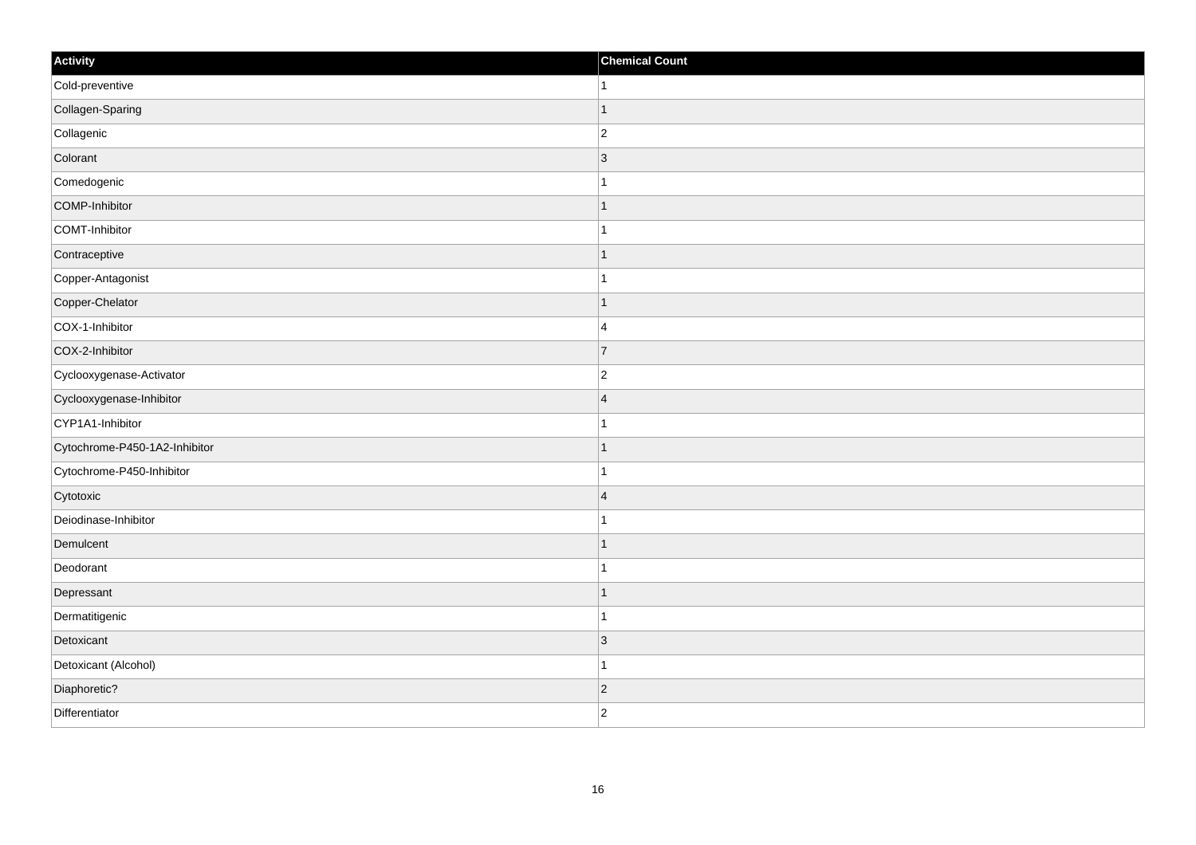| Activity                      | <b>Chemical Count</b> |
|-------------------------------|-----------------------|
| Cold-preventive               | $\mathbf{1}$          |
| Collagen-Sparing              | $\mathbf{1}$          |
| Collagenic                    | $\vert$ 2             |
| Colorant                      | $\vert$ 3             |
| Comedogenic                   | $\mathbf{1}$          |
| COMP-Inhibitor                | $\mathbf{1}$          |
| COMT-Inhibitor                | $\mathbf{1}$          |
| Contraceptive                 | $\mathbf{1}$          |
| Copper-Antagonist             | $\mathbf{1}$          |
| Copper-Chelator               | $\mathbf{1}$          |
| COX-1-Inhibitor               | $\overline{4}$        |
| COX-2-Inhibitor               | $\overline{7}$        |
| Cyclooxygenase-Activator      | $\overline{2}$        |
| Cyclooxygenase-Inhibitor      | 4                     |
| CYP1A1-Inhibitor              | $\mathbf{1}$          |
| Cytochrome-P450-1A2-Inhibitor | $\mathbf{1}$          |
| Cytochrome-P450-Inhibitor     | $\mathbf{1}$          |
| Cytotoxic                     | $\vert 4$             |
| Deiodinase-Inhibitor          | $\mathbf{1}$          |
| Demulcent                     | $\mathbf{1}$          |
| Deodorant                     | $\mathbf{1}$          |
| Depressant                    | $\mathbf{1}$          |
| Dermatitigenic                | $\mathbf{1}$          |
| Detoxicant                    | $\vert$ 3             |
| Detoxicant (Alcohol)          | $\vert$ 1             |
| Diaphoretic?                  | $\vert$ 2             |
| Differentiator                | $ 2\rangle$           |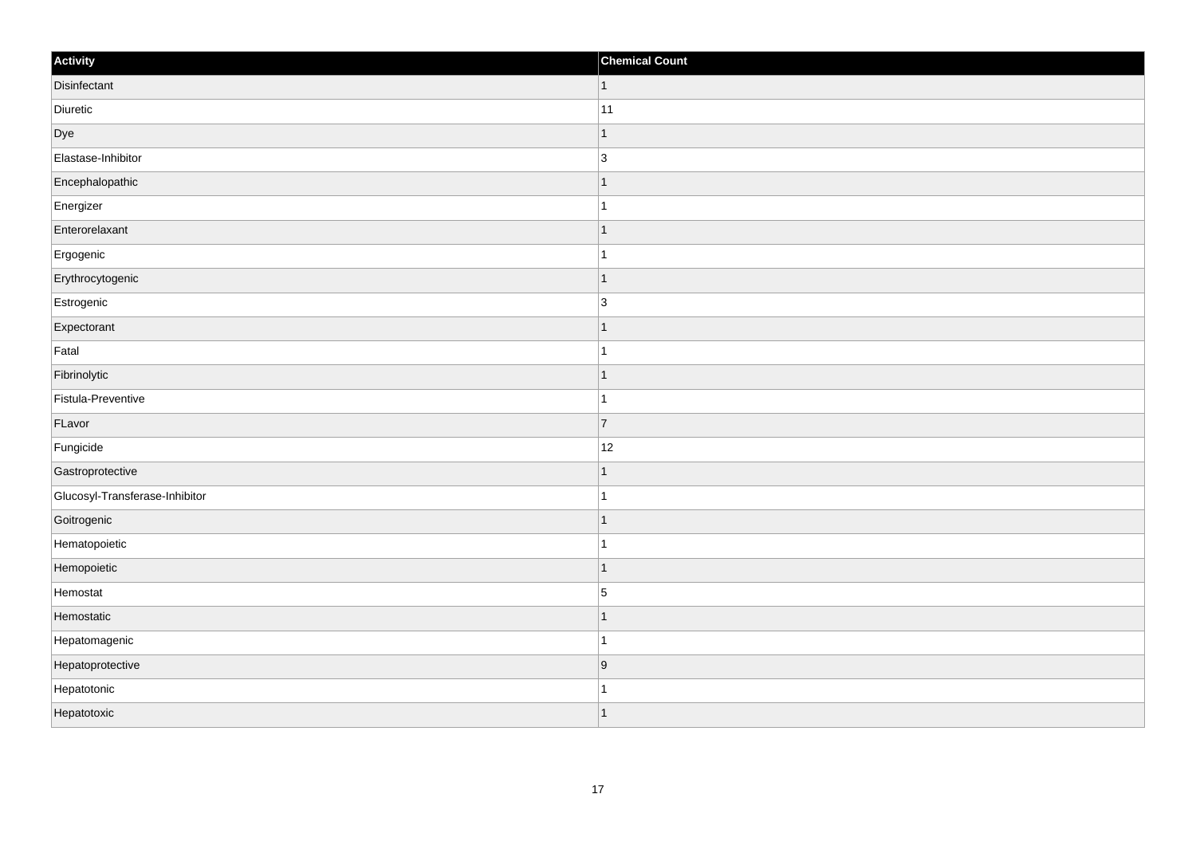| Activity                       | <b>Chemical Count</b> |
|--------------------------------|-----------------------|
| Disinfectant                   | $\vert$ 1             |
| Diuretic                       | $ 11\rangle$          |
| Dye                            | $\overline{1}$        |
| Elastase-Inhibitor             | 3                     |
| Encephalopathic                | $\overline{1}$        |
| Energizer                      | $\overline{1}$        |
| Enterorelaxant                 | $\mathbf{1}$          |
| Ergogenic                      | $\mathbf{1}$          |
| Erythrocytogenic               | $\overline{1}$        |
| Estrogenic                     | $\vert$ 3             |
| Expectorant                    | $\overline{1}$        |
| Fatal                          | $\overline{1}$        |
| Fibrinolytic                   | $\vert$ 1             |
| Fistula-Preventive             | $\mathbf{1}$          |
| FLavor                         | 7                     |
| Fungicide                      | 12                    |
| Gastroprotective               | $\overline{1}$        |
| Glucosyl-Transferase-Inhibitor | $\overline{1}$        |
| Goitrogenic                    | $\vert$ 1             |
| Hematopoietic                  | $\mathbf{1}$          |
| Hemopoietic                    | $\overline{1}$        |
| Hemostat                       | $\overline{5}$        |
| Hemostatic                     | $\mathbf{1}$          |
| Hepatomagenic                  | $\mathbf{1}$          |
| Hepatoprotective               | 9                     |
| Hepatotonic                    | $\overline{1}$        |
| Hepatotoxic                    | $\mathbf{1}$          |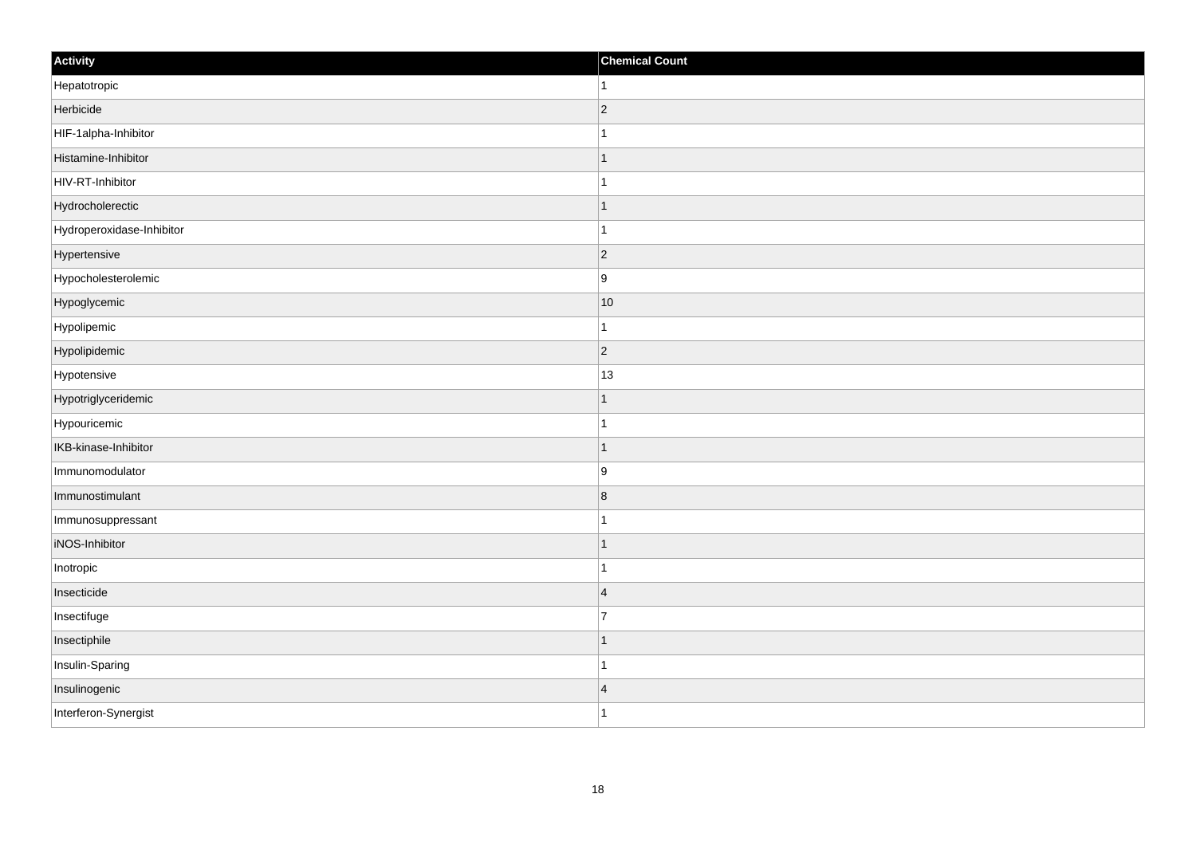| Activity                  | <b>Chemical Count</b> |
|---------------------------|-----------------------|
| Hepatotropic              | $\mathbf{1}$          |
| Herbicide                 | $\overline{c}$        |
| HIF-1alpha-Inhibitor      |                       |
| Histamine-Inhibitor       | $\mathbf 1$           |
| HIV-RT-Inhibitor          | $\mathbf{1}$          |
| Hydrocholerectic          |                       |
| Hydroperoxidase-Inhibitor | 1                     |
| Hypertensive              | $\overline{2}$        |
| Hypocholesterolemic       | 9                     |
| Hypoglycemic              | 10                    |
| Hypolipemic               | $\mathbf 1$           |
| Hypolipidemic             | $ 2\rangle$           |
| Hypotensive               | 13                    |
| Hypotriglyceridemic       |                       |
| Hypouricemic              |                       |
| IKB-kinase-Inhibitor      | $\mathbf{1}$          |
| Immunomodulator           | 9                     |
| Immunostimulant           | 8                     |
| Immunosuppressant         | 1                     |
| iNOS-Inhibitor            | 1                     |
| Inotropic                 | $\overline{1}$        |
| Insecticide               | $\overline{4}$        |
| Insectifuge               | 7                     |
| Insectiphile              | $\overline{1}$        |
| Insulin-Sparing           | $\overline{1}$        |
| Insulinogenic             | $\overline{4}$        |
| Interferon-Synergist      | $\mathbf{1}$          |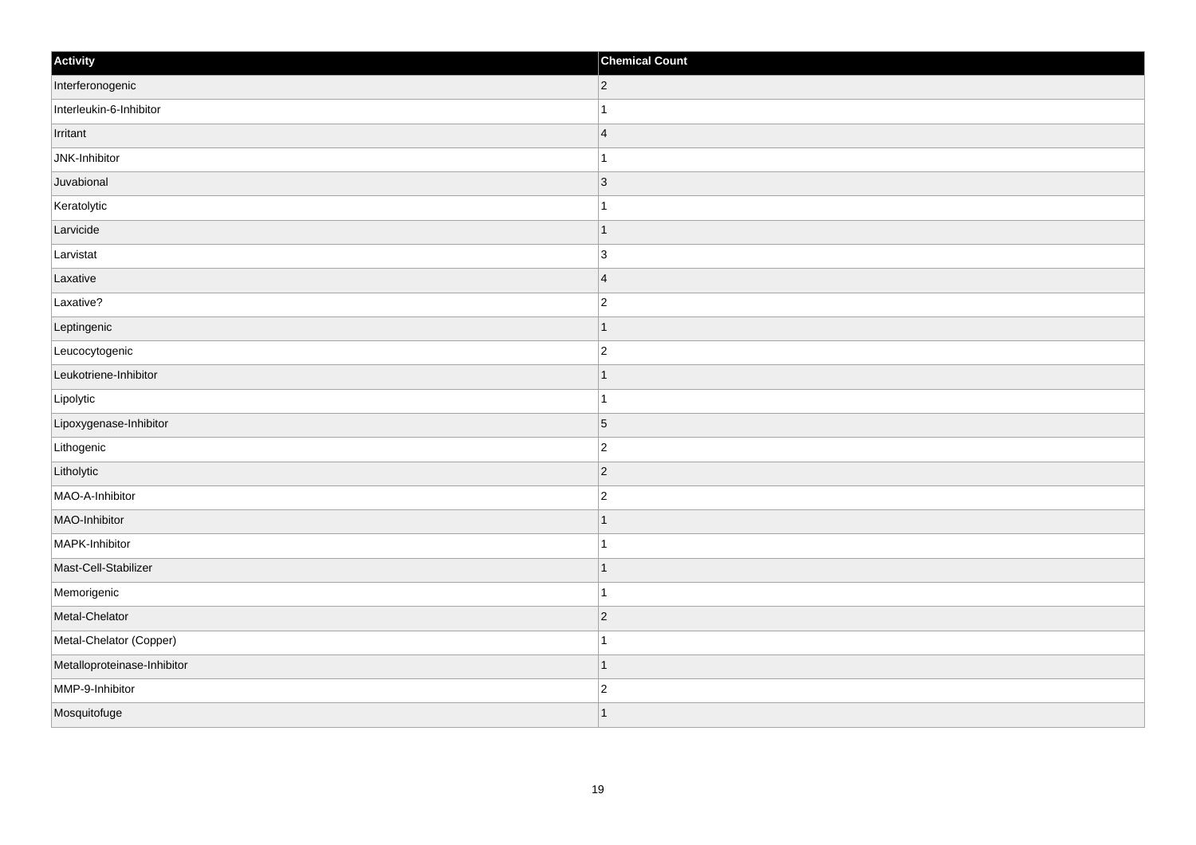| Activity                    | <b>Chemical Count</b> |
|-----------------------------|-----------------------|
| Interferonogenic            | $ 2\rangle$           |
| Interleukin-6-Inhibitor     |                       |
| Irritant                    | $\overline{4}$        |
| JNK-Inhibitor               |                       |
| Juvabional                  | $\overline{3}$        |
| Keratolytic                 |                       |
| Larvicide                   | 1                     |
| Larvistat                   | 3                     |
| Laxative                    | $\overline{4}$        |
| Laxative?                   | $\overline{2}$        |
| Leptingenic                 |                       |
| Leucocytogenic              | $\overline{2}$        |
| Leukotriene-Inhibitor       | 1                     |
| Lipolytic                   | 1                     |
| Lipoxygenase-Inhibitor      | $\overline{5}$        |
| Lithogenic                  | $\overline{c}$        |
| Litholytic                  | $\overline{2}$        |
| MAO-A-Inhibitor             | $\overline{2}$        |
| MAO-Inhibitor               | 1                     |
| MAPK-Inhibitor              | -1                    |
| Mast-Cell-Stabilizer        | ٠                     |
| Memorigenic                 |                       |
| Metal-Chelator              | $ 2\rangle$           |
| Metal-Chelator (Copper)     |                       |
| Metalloproteinase-Inhibitor |                       |
| MMP-9-Inhibitor             | $\overline{2}$        |
| Mosquitofuge                |                       |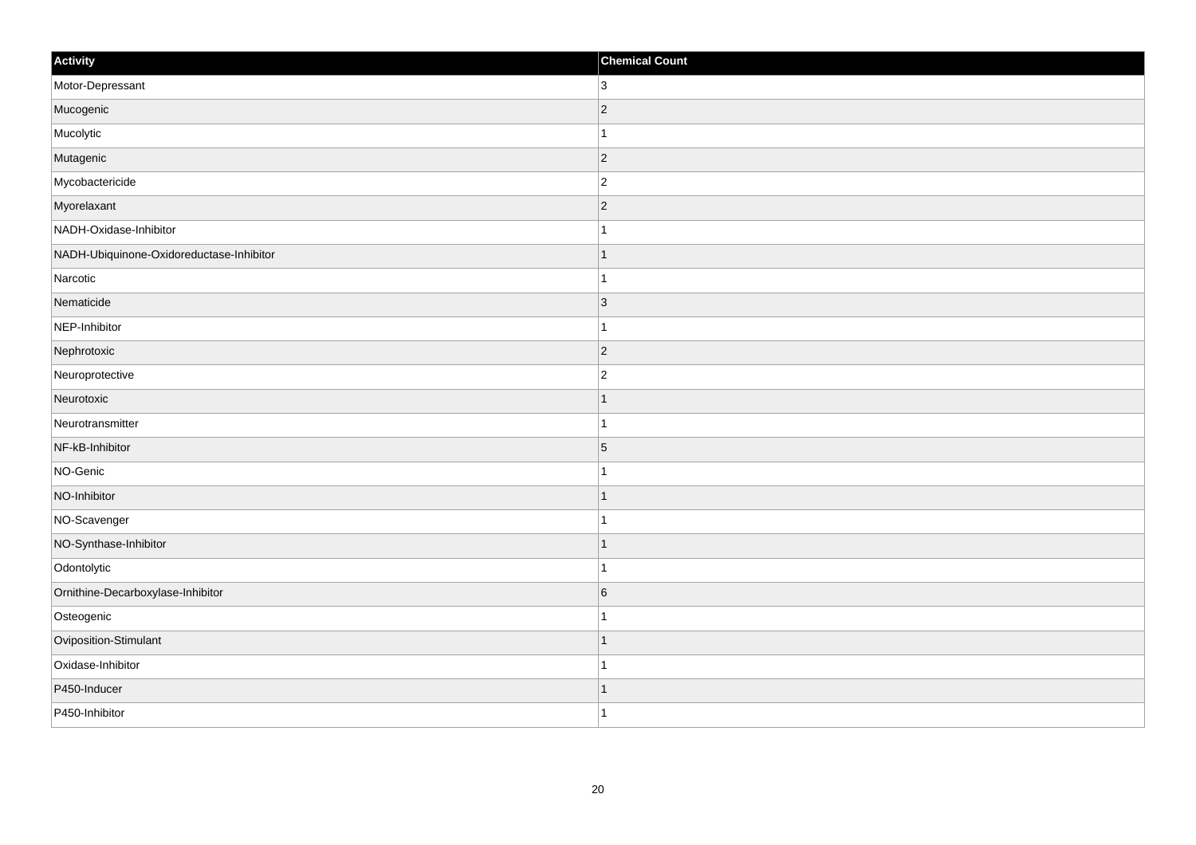| Activity                                 | <b>Chemical Count</b> |
|------------------------------------------|-----------------------|
| Motor-Depressant                         | 3 <sup>1</sup>        |
| Mucogenic                                | $\overline{c}$        |
| Mucolytic                                | 1                     |
| Mutagenic                                | $ 2\rangle$           |
| Mycobactericide                          | $\overline{c}$        |
| Myorelaxant                              | $ 2\rangle$           |
| NADH-Oxidase-Inhibitor                   | 1                     |
| NADH-Ubiquinone-Oxidoreductase-Inhibitor |                       |
| Narcotic                                 |                       |
| Nematicide                               | $ 3\rangle$           |
| NEP-Inhibitor                            | 1                     |
| Nephrotoxic                              | $ 2\rangle$           |
| Neuroprotective                          | $\overline{c}$        |
| Neurotoxic                               |                       |
| Neurotransmitter                         |                       |
| NF-kB-Inhibitor                          | $\overline{5}$        |
| NO-Genic                                 | -1                    |
| NO-Inhibitor                             | $\overline{1}$        |
| NO-Scavenger                             | $\overline{1}$        |
| NO-Synthase-Inhibitor                    | 1                     |
| Odontolytic                              | $\overline{1}$        |
| Ornithine-Decarboxylase-Inhibitor        | $6\phantom{.}6$       |
| Osteogenic                               |                       |
| Oviposition-Stimulant                    | $\overline{1}$        |
| Oxidase-Inhibitor                        | $\overline{1}$        |
| P450-Inducer                             | $\mathbf 1$           |
| P450-Inhibitor                           | $\overline{1}$        |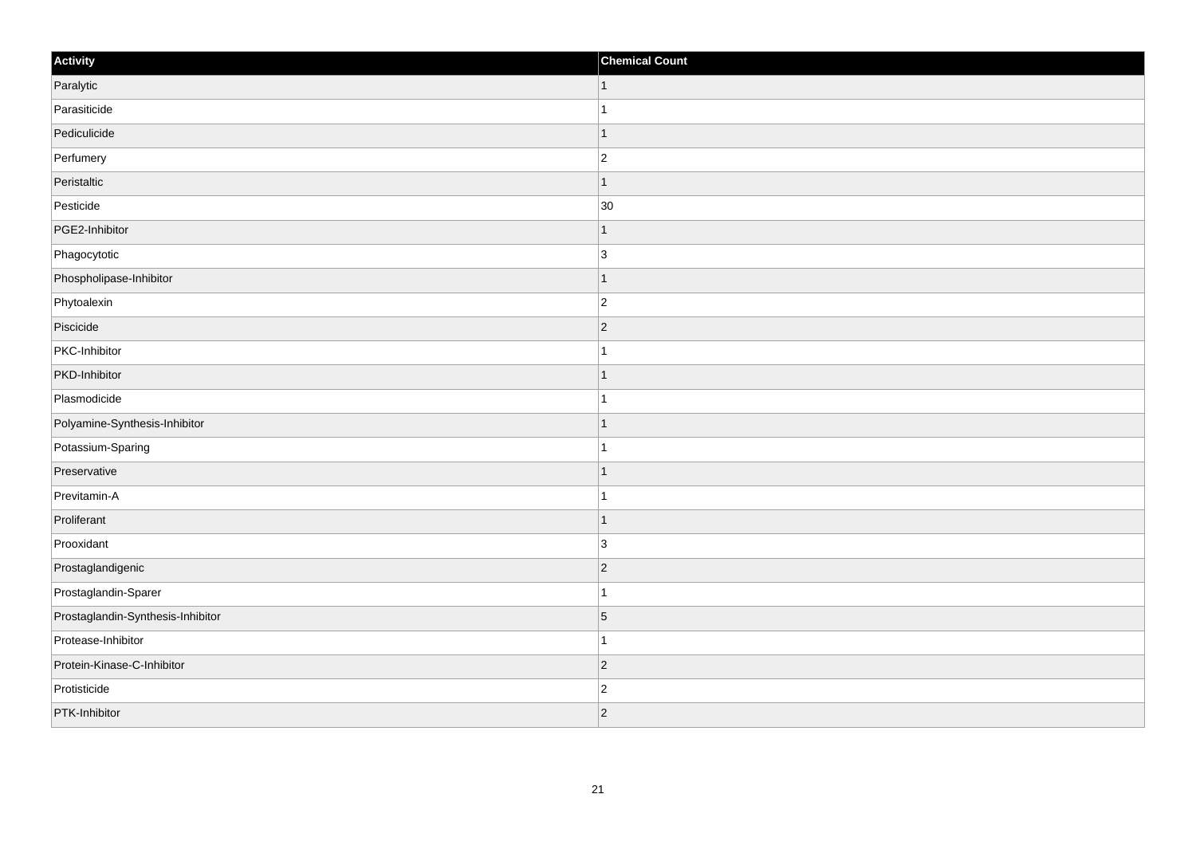| Activity                          | <b>Chemical Count</b> |
|-----------------------------------|-----------------------|
| Paralytic                         | $\vert$ 1             |
| Parasiticide                      |                       |
| Pediculicide                      |                       |
| Perfumery                         | $\overline{2}$        |
| Peristaltic                       |                       |
| Pesticide                         | 30                    |
| PGE2-Inhibitor                    | -1                    |
| Phagocytotic                      | 3                     |
| Phospholipase-Inhibitor           |                       |
| Phytoalexin                       | $\overline{2}$        |
| Piscicide                         | $\overline{2}$        |
| PKC-Inhibitor                     |                       |
| PKD-Inhibitor                     | -1                    |
| Plasmodicide                      |                       |
| Polyamine-Synthesis-Inhibitor     |                       |
| Potassium-Sparing                 |                       |
| Preservative                      |                       |
| Previtamin-A                      |                       |
| Proliferant                       |                       |
| Prooxidant                        | $\overline{3}$        |
| Prostaglandigenic                 | $\overline{2}$        |
| Prostaglandin-Sparer              |                       |
| Prostaglandin-Synthesis-Inhibitor | $\overline{5}$        |
| Protease-Inhibitor                |                       |
| Protein-Kinase-C-Inhibitor        | $\vert$ 2             |
| Protisticide                      | $\overline{2}$        |
| PTK-Inhibitor                     | $ 2\rangle$           |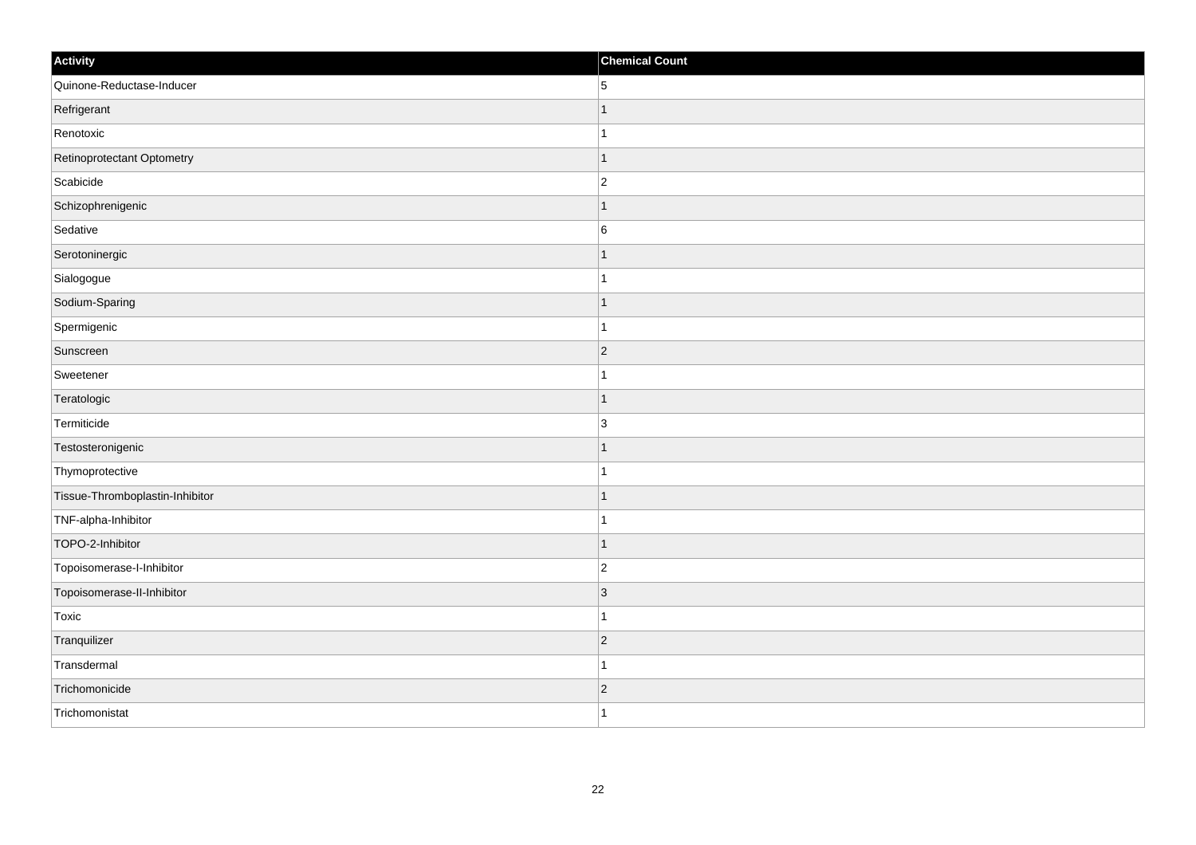| Activity                        | <b>Chemical Count</b> |
|---------------------------------|-----------------------|
| Quinone-Reductase-Inducer       | 5                     |
| Refrigerant                     |                       |
| Renotoxic                       | 1                     |
| Retinoprotectant Optometry      | $\mathbf 1$           |
| Scabicide                       | $\overline{c}$        |
| Schizophrenigenic               |                       |
| Sedative                        | $\,6$                 |
| Serotoninergic                  |                       |
| Sialogogue                      |                       |
| Sodium-Sparing                  | $\mathbf 1$           |
| Spermigenic                     | $\mathbf{1}$          |
| Sunscreen                       | $ 2\rangle$           |
| Sweetener                       | 1                     |
| Teratologic                     | 1                     |
| Termiticide                     | $\overline{3}$        |
| Testosteronigenic               | $\mathbf 1$           |
| Thymoprotective                 | $\overline{1}$        |
| Tissue-Thromboplastin-Inhibitor |                       |
| TNF-alpha-Inhibitor             | 1                     |
| TOPO-2-Inhibitor                | -1                    |
| Topoisomerase-I-Inhibitor       | $\overline{c}$        |
| Topoisomerase-II-Inhibitor      | 3                     |
| Toxic                           | $\mathbf 1$           |
| Tranquilizer                    | $ 2\rangle$           |
| Transdermal                     | 1                     |
| Trichomonicide                  | $\overline{2}$        |
| Trichomonistat                  | $\mathbf{1}$          |